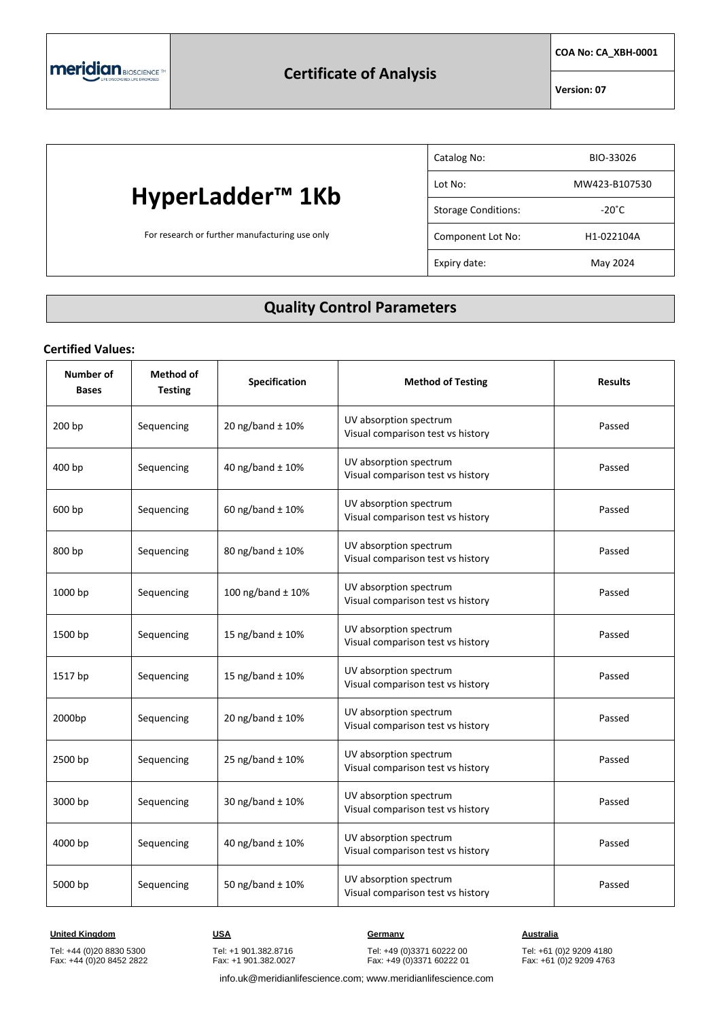**COA No: CA\_XBH-0001**

**Version: 07**

# **HyperLadder™ 1Kb**

For research or further manufacturing use only

| Catalog No:                | BIO-33026       |
|----------------------------|-----------------|
| Lot No:                    | MW423-B107530   |
| <b>Storage Conditions:</b> | $-20^{\circ}$ C |
| Component Lot No:          | H1-022104A      |
| Expiry date:               | May 2024        |

## **Quality Control Parameters**

#### **Certified Values:**

| Number of<br><b>Bases</b> | <b>Method of</b><br><b>Testing</b> | Specification        | <b>Method of Testing</b>                                    | <b>Results</b> |
|---------------------------|------------------------------------|----------------------|-------------------------------------------------------------|----------------|
| 200 bp                    | Sequencing                         | 20 ng/band $\pm$ 10% | UV absorption spectrum<br>Visual comparison test vs history | Passed         |
| 400 bp                    | Sequencing                         | 40 ng/band ± 10%     | UV absorption spectrum<br>Visual comparison test vs history | Passed         |
| 600 bp                    | Sequencing                         | 60 ng/band $\pm$ 10% | UV absorption spectrum<br>Visual comparison test vs history | Passed         |
| 800 bp                    | Sequencing                         | 80 ng/band ± 10%     | UV absorption spectrum<br>Visual comparison test vs history | Passed         |
| 1000 bp                   | Sequencing                         | 100 ng/band ± 10%    | UV absorption spectrum<br>Visual comparison test vs history | Passed         |
| 1500 bp                   | Sequencing                         | 15 ng/band ± 10%     | UV absorption spectrum<br>Visual comparison test vs history | Passed         |
| 1517 bp                   | Sequencing                         | 15 ng/band ± 10%     | UV absorption spectrum<br>Visual comparison test vs history | Passed         |
| 2000bp                    | Sequencing                         | 20 ng/band ± 10%     | UV absorption spectrum<br>Visual comparison test vs history | Passed         |
| 2500 bp                   | Sequencing                         | 25 ng/band ± 10%     | UV absorption spectrum<br>Visual comparison test vs history | Passed         |
| 3000 bp                   | Sequencing                         | 30 ng/band ± 10%     | UV absorption spectrum<br>Visual comparison test vs history | Passed         |
| 4000 bp                   | Sequencing                         | 40 ng/band ± 10%     | UV absorption spectrum<br>Visual comparison test vs history | Passed         |
| 5000 bp                   | Sequencing                         | 50 ng/band ± 10%     | UV absorption spectrum<br>Visual comparison test vs history | Passed         |

**United Kingdom CONSTRUMER IN THE USA CONSTRUCTER CONSTRUCTED ASSESSING MANAGEMENT ACCORDING MANAGEMENT ACCORDING MANAGEMENT ACCORDING MANAGEMENT ACCORDING MANAGEMENT ACCORDING MANAGEMENT ACCORDING MANAGEMENT ACCORDING M** 

Tel: +44 (0)20 8830 5300 Fax: +44 (0)20 8452 2822 Tel: +1 901.382.8716 Fax: +1 901.382.0027 Tel: +49 (0)3371 60222 00 Fax: +49 (0)3371 60222 01

Tel: +61 (0)2 9209 4180 Fax: +61 (0)2 9209 4763

info.uk@meridianlifescience.com; www.meridianlifescience.com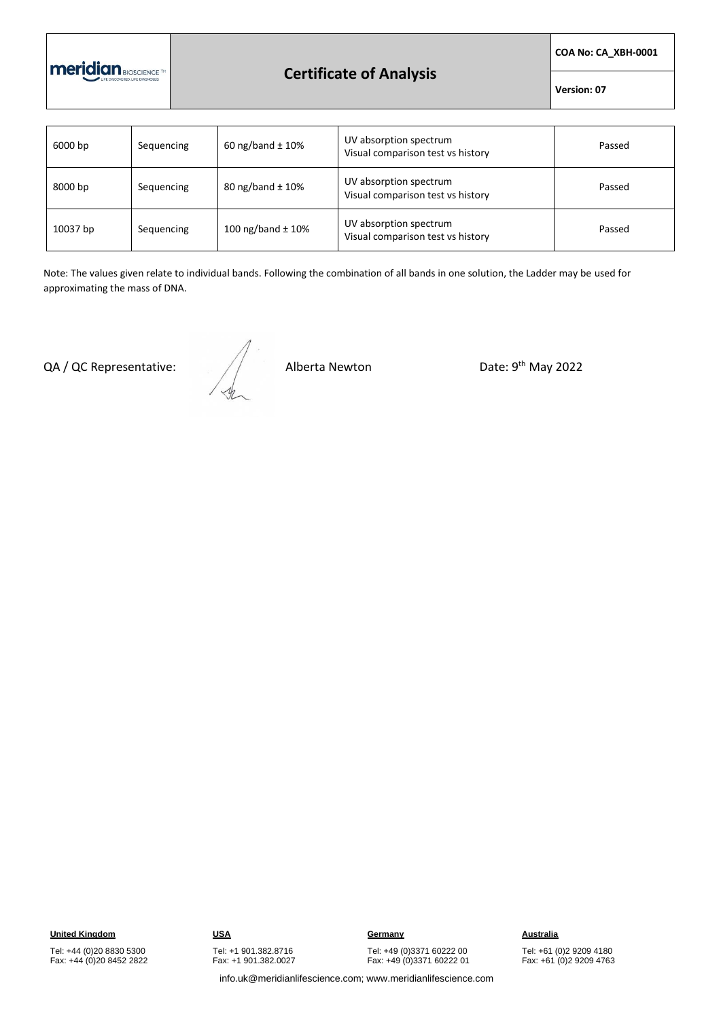

### **Certificate of Analysis**

**COA No: CA\_XBH-0001**

**Version: 07**

| 6000 bp  | Sequencing | 60 ng/band $\pm$ 10%  | UV absorption spectrum<br>Visual comparison test vs history | Passed |
|----------|------------|-----------------------|-------------------------------------------------------------|--------|
| 8000 bp  | Sequencing | 80 ng/band $\pm$ 10%  | UV absorption spectrum<br>Visual comparison test vs history | Passed |
| 10037 bp | Sequencing | 100 ng/band $\pm$ 10% | UV absorption spectrum<br>Visual comparison test vs history | Passed |

Note: The values given relate to individual bands. Following the combination of all bands in one solution, the Ladder may be used for approximating the mass of DNA.

QA / QC Representative:  $\sqrt{2}$  Alberta Newton

Date: 9<sup>th</sup> May 2022

Tel: +44 (0)20 8830 5300 Fax: +44 (0)20 8452 2822 Tel: +1 901.382.8716 Fax: +1 901.382.0027

**United Kingdom CONSTRUMERY IS USA Germany Germany Australia** Tel: +49 (0)3371 60222 00 Fax: +49 (0)3371 60222 01

Tel: +61 (0)2 9209 4180 Fax: +61 (0)2 9209 4763